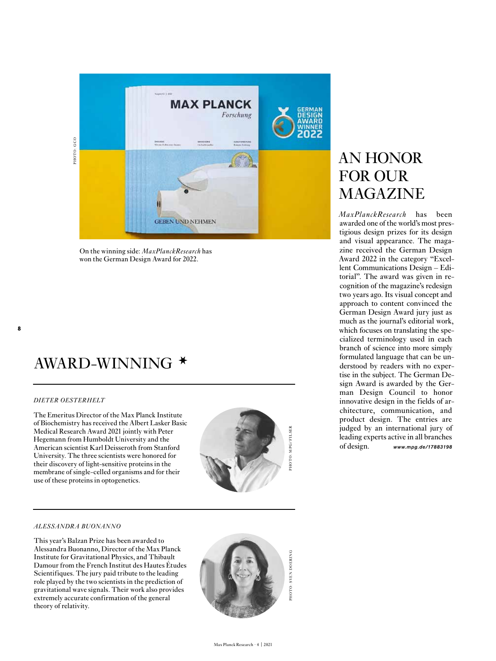

On the winning side: *MaxPlanckResearch* has won the German Design Award for 2022.

### AWARD-WINNING \*

#### *DIETER OESTERHELT*

The Emeritus Director of the Max Planck Institute of Biochemistry has received the Albert Lasker Basic Medical Research Award 2021 jointly with Peter Hegemann from Humboldt University and the American scientist Karl Deisseroth from Stanford University. The three scientists were honored for their discovery of light-sensitive proteins in the membrane of single-celled organisms and for their use of these proteins in optogenetics.



#### *ALESSANDRA BUONANNO*

This year's Balzan Prize has been awarded to Alessandra Buonanno, Director of the Max Planck Institute for Gravitational Physics, and Thibault Damour from the French Institut des Hautes Études Scientifiques. The jury paid tribute to the leading role played by the two scientists in the prediction of gravitational wave signals. Their work also provides extremely accurate confirmation of the general theory of relativity.



#### AN HONOR FOR OUR MAGAZINE

*MaxPlanckResearch* has been awarded one of the world's most pres tigious design prizes for its design and visual appearance. The maga zine received the German Design Award 2022 in the category "Excel lent Communications Design – Edi torial". The award was given in recognition of the magazine's redesign two years ago. Its visual concept and approach to content convinced the German Design Award jury just as much as the journal's editorial work, which focuses on translating the spe cialized terminology used in each branch of science into more simply formulated language that can be un derstood by readers with no exper tise in the subject. The German De sign Award is awarded by the Ger man Design Council to honor innovative design in the fields of ar chitecture, communication, and product design. The entries are judged by an international jury of leading experts active in all branches of design. *www.mpg.de/17883198*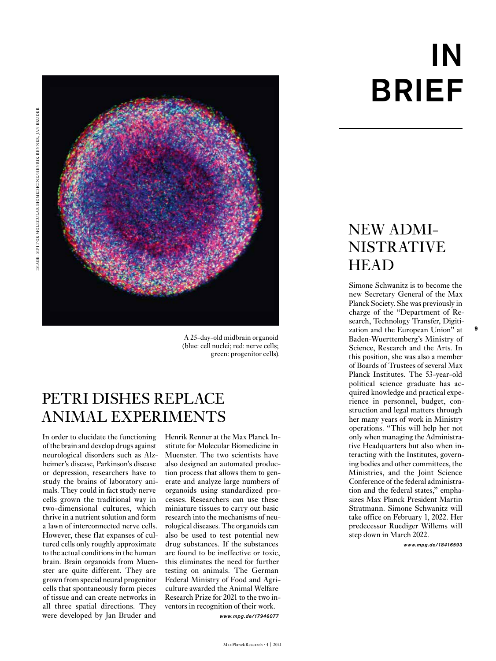

A 25-day-old midbrain organoid (blue: cell nuclei; red: nerve cells; green: progenitor cells).

#### PETRI DISHES REPLACE ANIMAL EXPERIMENTS

In order to elucidate the functioning of the brain and develop drugs against neurological disorders such as Alzheimer's disease, Parkinson's disease or depression, researchers have to study the brains of laboratory animals. They could in fact study nerve cells grown the traditional way in two-dimensional cultures, which thrive in a nutrient solution and form a lawn of interconnected nerve cells. However, these flat expanses of cultured cells only roughly approximate to the actual conditions in the human brain. Brain organoids from Muenster are quite different. They are grown from special neural progenitor cells that spontaneously form pieces of tissue and can create networks in all three spatial directions. They were developed by Jan Bruder and

Henrik Renner at the Max Planck Institute for Molecular Biomedicine in Muenster. The two scientists have also designed an automated production process that allows them to generate and analyze large numbers of organoids using standardized processes. Researchers can use these miniature tissues to carry out basic research into the mechanisms of neurological diseases. The organoids can also be used to test potential new drug substances. If the substances are found to be ineffective or toxic, this eliminates the need for further testing on animals. The German Federal Ministry of Food and Agriculture awarded the Animal Welfare Research Prize for 2021 to the two inventors in recognition of their work. *www.mpg.de/17946077*

# IN BRIEF

#### NEW ADMI-NISTRATIVE **HEAD**

Simone Schwanitz is to become the new Secretary General of the Max Planck Society. She was previously in charge of the "Department of Research, Technology Transfer, Digitization and the European Union" at Baden-Wuerttemberg's Ministry of Science, Research and the Arts. In this position, she was also a member of Boards of Trustees of several Max Planck Institutes. The 53-year-old political science graduate has acquired knowledge and practical experience in personnel, budget, construction and legal matters through her many years of work in Ministry operations. "This will help her not only when managing the Administrative Headquarters but also when interacting with the Institutes, governing bodies and other committees, the Ministries, and the Joint Science Conference of the federal administration and the federal states," emphasizes Max Planck President Martin Stratmann. Simone Schwanitz will take office on February 1, 2022. Her predecessor Ruediger Willems will step down in March 2022.

**9**

*www.mpg.de/18416593*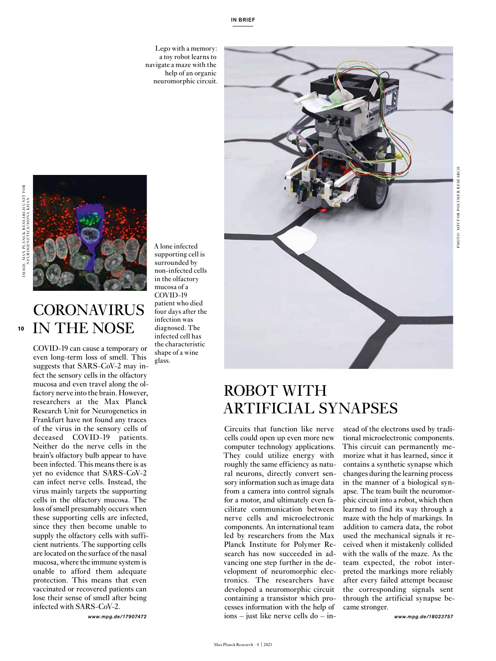Lego with a memory: a toy robot learns to navigate a maze with the help of an organic neuromorphic circuit.



### ROBOT WITH ARTIFICIAL SYNAPSES

Circuits that function like nerve cells could open up even more new computer technology applications. They could utilize energy with roughly the same efficiency as natural neurons, directly convert sensory information such as image data from a camera into control signals for a motor, and ultimately even facilitate communication between nerve cells and microelectronic components. An international team led by researchers from the Max Planck Institute for Polymer Research has now succeeded in advancing one step further in the development of neuromorphic electronics. The researchers have developed a neuromorphic circuit containing a transistor which processes information with the help of ions – just like nerve cells do – in-

stead of the electrons used by traditional microelectronic components. This circuit can permanently memorize what it has learned, since it contains a synthetic synapse which changes during the learning process in the manner of a biological synapse. The team built the neuromorphic circuit into a robot, which then learned to find its way through a maze with the help of markings. In addition to camera data, the robot used the mechanical signals it received when it mistakenly collided with the walls of the maze. As the team expected, the robot interpreted the markings more reliably after every failed attempt because the corresponding signals sent through the artificial synapse became stronger.

*www.mpg.de/18023757*

**10**

#### **CORONAVIRUS** IN THE NOSE

COVID-19 can cause a temporary or even long-term loss of smell. This suggests that SARS-CoV-2 may infect the sensory cells in the olfactory mucosa and even travel along the olfactory nerve into the brain. However, researchers at the Max Planck Research Unit for Neurogenetics in Frankfurt have not found any traces of the virus in the sensory cells of deceased COVID-19 patients. Neither do the nerve cells in the brain's olfactory bulb appear to have been infected. This means there is as yet no evidence that SARS-CoV-2 can infect nerve cells. Instead, the virus mainly targets the supporting cells in the olfactory mucosa. The loss of smell presumably occurs when these supporting cells are infected, since they then become unable to supply the olfactory cells with sufficient nutrients. The supporting cells are located on the surface of the nasal mucosa, where the immune system is unable to afford them adequate protection. This means that even vaccinated or recovered patients can lose their sense of smell after being infected with SARS-CoV-2.

*www.mpg.de/17907472*

A lone infected supporting cell is surrounded by non-infected cells in the olfactory mucosa of a COVID-19 patient who died four days after the infection was diagnosed. The infected cell has the characteristic shape of a wine

glass.

Max Planck Research · 4 | 2021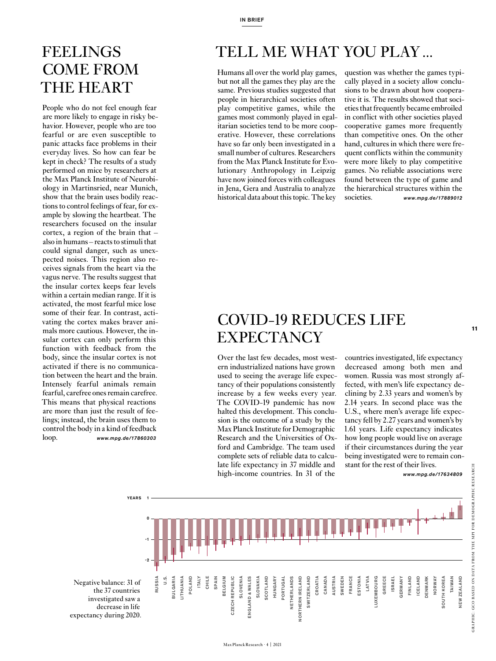#### **FEELINGS** COME FROM THE HEART

People who do not feel enough fear are more likely to engage in risky behavior. However, people who are too fearful or are even susceptible to panic attacks face problems in their everyday lives. So how can fear be kept in check? The results of a study performed on mice by researchers at the Max Planck Institute of Neurobiology in Martinsried, near Munich, show that the brain uses bodily reactions to control feelings of fear, for example by slowing the heartbeat. The researchers focused on the insular cortex, a region of the brain that – also in humans – reacts to stimuli that could signal danger, such as unexpected noises. This region also receives signals from the heart via the vagus nerve. The results suggest that the insular cortex keeps fear levels within a certain median range. If it is activated, the most fearful mice lose some of their fear. In contrast, activating the cortex makes braver animals more cautious. However, the insular cortex can only perform this function with feedback from the body, since the insular cortex is not activated if there is no communication between the heart and the brain. Intensely fearful animals remain fearful, carefree ones remain carefree. This means that physical reactions are more than just the result of feelings; instead, the brain uses them to control the body in a kind of feedback loop. *www.mpg.de/17860303*

# TELL ME WHAT YOU PLAY ...

Humans all over the world play games, but not all the games they play are the same. Previous studies suggested that people in hierarchical societies often play competitive games, while the games most commonly played in egalitarian societies tend to be more cooperative. However, these correlations have so far only been investigated in a small number of cultures. Researchers from the Max Planck Institute for Evolutionary Anthropology in Leipzig have now joined forces with colleagues in Jena, Gera and Australia to analyze historical data about this topic. The key

question was whether the games typically played in a society allow conclusions to be drawn about how cooperative it is. The results showed that societies that frequently became embroiled in conflict with other societies played cooperative games more frequently than competitive ones. On the other hand, cultures in which there were frequent conflicts within the community were more likely to play competitive games. No reliable associations were found between the type of game and the hierarchical structures within the societies.<br> $www.moa.de/17889012$ societies. *www.mpg.de/17889012* 

#### COVID-19 REDUCES LIFE **EXPECTANCY**

Over the last few decades, most western industrialized nations have grown used to seeing the average life expectancy of their populations consistently increase by a few weeks every year. The COVID-19 pandemic has now halted this development. This conclusion is the outcome of a study by the Max Planck Institute for Demographic Research and the Universities of Oxford and Cambridge. The team used complete sets of reliable data to calculate life expectancy in 37 middle and high-income countries. In 31 of the

countries investigated, life expectancy decreased among both men and women. Russia was most strongly affected, with men's life expectancy declining by 2.33 years and women's by 2.14 years. In second place was the U.S., where men's average life expectancy fell by 2.27 years and women's by 1.61 years. Life expectancy indicates how long people would live on average if their circumstances during the year being investigated were to remain constant for the rest of their lives.

*www.mpg.de/17634809* 



Negative balance: 31 of the 37 countries investigated saw a decrease in life expectancy during 2020. GRAPHIC: GCO BASED ON DATA FROM THE MPI FOR DEMOGRAPHIC RESEARCH

GRAPHIC: GCO BASED ON DATA FROM THE MPI FOR DEMOGRAPHIC RESEARCH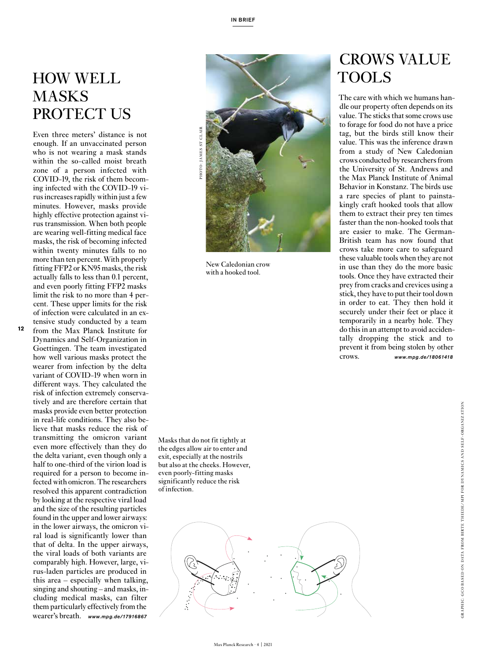#### HOW WELL MASKS PROTECT US

Even three meters' distance is not enough. If an unvaccinated person who is not wearing a mask stands within the so-called moist breath zone of a person infected with COVID-19, the risk of them becom ing infected with the COVID-19 vi rus increases rapidly within just a few minutes. However, masks provide highly effective protection against vi rus transmission. When both people are wearing well-fitting medical face masks, the risk of becoming infected within twenty minutes falls to no more than ten percent. With properly fitting FFP2 or KN95 masks, the risk actually falls to less than 0.1 percent, and even poorly fitting FFP2 masks limit the risk to no more than 4 per cent. These upper limits for the risk of infection were calculated in an ex -

**12**

tensive study conducted by a team from the Max Planck Institute for Dynamics and Self-Organization in Goettingen. The team investigated how well various masks protect the wearer from infection by the delta variant of COVID-19 when worn in different ways. They calculated the risk of infection extremely conserva tively and are therefore certain that masks provide even better protection in real-life conditions. They also be lieve that masks reduce the risk of transmitting the omicron variant even more effectively than they do the delta variant, even though only a half to one-third of the virion load is required for a person to become in fected with omicron. The researchers resolved this apparent contradiction by looking at the respective viral load and the size of the resulting particles found in the upper and lower airways: in the lower airways, the omicron vi ral load is significantly lower than that of delta. In the upper airways, the viral loads of both variants are comparably high. However, large, vi rus-laden particles are produced in this area – especially when talking, singing and shouting – and masks, in cluding medical masks, can filter them particularly effectively from the wearer's breath. *www.mpg.de/17916867*



New Caledonian crow with a hooked tool.

Masks that do not fit tightly at the edges allow air to enter and exit, especially at the nostrils but also at the cheeks. However, even poorly-fitting masks significantly reduce the risk of infection.



#### CROWS VALUE TOOLS

The care with which we humans han dle our property often depends on its value. The sticks that some crows use to forage for food do not have a price tag, but the birds still know their value. This was the inference drawn from a study of New Caledonian crows conducted by researchers from the University of St. Andrews and the Max Planck Institute of Animal Behavior in Konstanz. The birds use a rare species of plant to painstakingly craft hooked tools that allow them to extract their prey ten times faster than the non-hooked tools that are easier to make. The German-British team has now found that crows take more care to safeguard these valuable tools when they are not in use than they do the more basic tools. Once they have extracted their prey from cracks and crevices using a stick, they have to put their tool down in order to eat. They then hold it securely under their feet or place it temporarily in a nearby hole. They do this in an attempt to avoid acciden tally dropping the stick and to prevent it from being stolen by other crows. *www.mpg.de/18061418*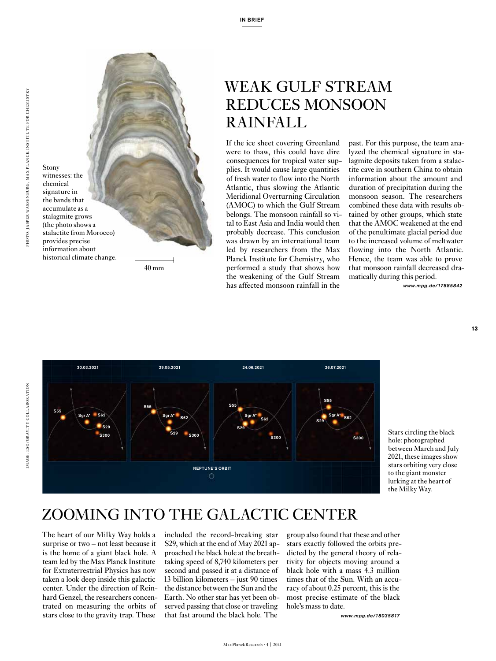

Stony



<sup>40</sup> mm

#### WEAK GULF STREAM REDUCES MONSOON RAINFALL

If the ice sheet covering Greenland were to thaw, this could have dire consequences for tropical water supplies. It would cause large quantities of fresh water to flow into the North Atlantic, thus slowing the Atlantic Meridional Overturning Circulation (AMOC) to which the Gulf Stream belongs. The monsoon rainfall so vital to East Asia and India would then probably decrease. This conclusion was drawn by an international team led by researchers from the Max Planck Institute for Chemistry, who performed a study that shows how the weakening of the Gulf Stream has affected monsoon rainfall in the

past. For this purpose, the team analyzed the chemical signature in stalagmite deposits taken from a stalactite cave in southern China to obtain information about the amount and duration of precipitation during the monsoon season. The researchers combined these data with results obtained by other groups, which state that the AMOC weakened at the end of the penultimate glacial period due to the increased volume of meltwater flowing into the North Atlantic. Hence, the team was able to prove that monsoon rainfall decreased dramatically during this period.

*www.mpg.de/17885842*

**13**



Stars circling the black hole: photographed between March and July 2021, these images show stars orbiting very close to the giant monster lurking at the heart of the Milky Way.

#### ZOOMING INTO THE GALACTIC CENTER

The heart of our Milky Way holds a surprise or two – not least because it is the home of a giant black hole. A team led by the Max Planck Institute for Extraterrestrial Physics has now taken a look deep inside this galactic center. Under the direction of Reinhard Genzel, the researchers concentrated on measuring the orbits of stars close to the gravity trap. These

included the record-breaking star S29, which at the end of May 2021 approached the black hole at the breathtaking speed of 8,740 kilometers per second and passed it at a distance of 13 billion kilometers – just 90 times the distance between the Sun and the Earth. No other star has yet been observed passing that close or traveling that fast around the black hole. The

group also found that these and other stars exactly followed the orbits predicted by the general theory of relativity for objects moving around a black hole with a mass 4.3 million times that of the Sun. With an accuracy of about 0.25 percent, this is the most precise estimate of the black hole's mass to date.

*www.mpg.de/18035817*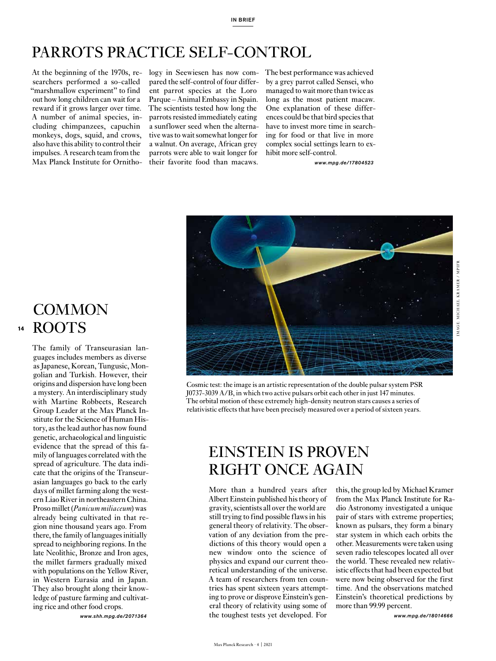#### PARROTS PRACTICE SELF-CONTROL

At the beginning of the 1970s, re-logy in Seewiesen has now comsearchers performed a so-called "marshmallow experiment" to find out how long children can wait for a reward if it grows larger over time. A number of animal species, including chimpanzees, capuchin monkeys, dogs, squid, and crows, also have this ability to control their impulses. A research team from the Max Planck Institute for Ornitho-

pared the self-control of four different parrot species at the Loro Parque – Animal Embassy in Spain. The scientists tested how long the parrots resisted immediately eating a sunflower seed when the alternative was to wait somewhat longer for a walnut. On average, African grey parrots were able to wait longer for their favorite food than macaws.

The best performance was achieved by a grey parrot called Sensei, who managed to wait more than twice as long as the most patient macaw. One explanation of these differences could be that bird species that have to invest more time in searching for food or that live in more complex social settings learn to exhibit more self-control.

*www.mpg.de/17804523*



**COMMON** ROOTS **14**

The family of Transeurasian languages includes members as diverse as Japanese, Korean, Tungusic, Mongolian and Turkish. However, their origins and dispersion have long been a mystery. An interdisciplinary study with Martine Robbeets, Research Group Leader at the Max Planck Institute for the Science of Human History, as the lead author has now found genetic, archaeological and linguistic evidence that the spread of this family of languages correlated with the spread of agriculture. The data indicate that the origins of the Transeurasian languages go back to the early days of millet farming along the western Liao River in northeastern China. Proso millet (*Panicum miliaceum*) was already being cultivated in that region nine thousand years ago. From there, the family of languages initially spread to neighboring regions. In the late Neolithic, Bronze and Iron ages, the millet farmers gradually mixed with populations on the Yellow River, in Western Eurasia and in Japan. They also brought along their knowledge of pasture farming and cultivating rice and other food crops.

*www.shh.mpg.de/2071364*

Cosmic test: the image is an artistic representation of the double pulsar system PSR J0737-3039 A/B, in which two active pulsars orbit each other in just 147 minutes. The orbital motion of these extremely high-density neutron stars causes a series of relativistic effects that have been precisely measured over a period of sixteen years.

#### EINSTEIN IS PROVEN RIGHT ONCE AGAIN

More than a hundred years after Albert Einstein published his theory of gravity, scientists all over the world are still trying to find possible flaws in his general theory of relativity. The observation of any deviation from the predictions of this theory would open a new window onto the science of physics and expand our current theoretical understanding of the universe. A team of researchers from ten countries has spent sixteen years attempting to prove or disprove Einstein's general theory of relativity using some of the toughest tests yet developed. For

this, the group led by Michael Kramer from the Max Planck Institute for Radio Astronomy investigated a unique pair of stars with extreme properties; known as pulsars, they form a binary star system in which each orbits the other. Measurements were taken using seven radio telescopes located all over the world. These revealed new relativistic effects that had been expected but were now being observed for the first time. And the observations matched Einstein's theoretical predictions by more than 99.99 percent.

*www.mpg.de/18014666*